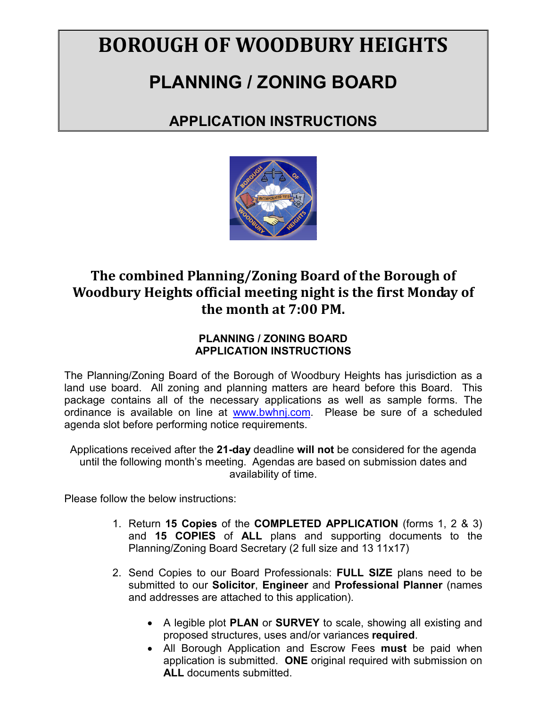# **BOROUGH OF WOODBURY HEIGHTS**

# **PLANNING / ZONING BOARD**

### **APPLICATION INSTRUCTIONS**



### **The combined Planning/Zoning Board of the Borough of Woodbury Heights official meeting night is the first Monday of the month at 7:00 PM.**

#### **PLANNING / ZONING BOARD APPLICATION INSTRUCTIONS**

The Planning/Zoning Board of the Borough of Woodbury Heights has jurisdiction as a land use board. All zoning and planning matters are heard before this Board. This package contains all of the necessary applications as well as sample forms. The ordinance is available on line at [www.bwhnj.com.](http://www.bwhnj.com/) Please be sure of a scheduled agenda slot before performing notice requirements.

Applications received after the **21-day** deadline **will not** be considered for the agenda until the following month's meeting. Agendas are based on submission dates and availability of time.

Please follow the below instructions:

- 1. Return **15 Copies** of the **COMPLETED APPLICATION** (forms 1, 2 & 3) and **15 COPIES** of **ALL** plans and supporting documents to the Planning/Zoning Board Secretary (2 full size and 13 11x17)
- 2. Send Copies to our Board Professionals: **FULL SIZE** plans need to be submitted to our **Solicitor**, **Engineer** and **Professional Planner** (names and addresses are attached to this application).
	- A legible plot **PLAN** or **SURVEY** to scale, showing all existing and proposed structures, uses and/or variances **required**.
	- All Borough Application and Escrow Fees **must** be paid when application is submitted. **ONE** original required with submission on **ALL** documents submitted.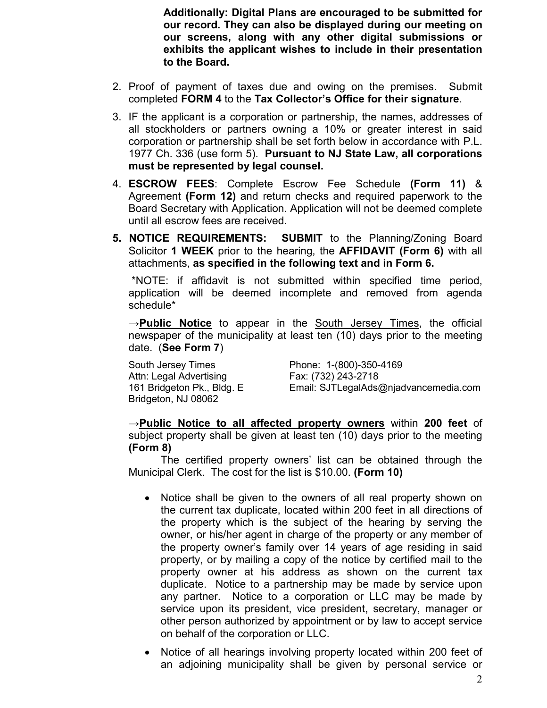**Additionally: Digital Plans are encouraged to be submitted for our record. They can also be displayed during our meeting on our screens, along with any other digital submissions or exhibits the applicant wishes to include in their presentation to the Board.** 

- 2. Proof of payment of taxes due and owing on the premises. Submit completed **FORM 4** to the **Tax Collector's Office for their signature**.
- 3. IF the applicant is a corporation or partnership, the names, addresses of all stockholders or partners owning a 10% or greater interest in said corporation or partnership shall be set forth below in accordance with P.L. 1977 Ch. 336 (use form 5). **Pursuant to NJ State Law, all corporations must be represented by legal counsel.**
- 4. **ESCROW FEES**: Complete Escrow Fee Schedule **(Form 11)** & Agreement **(Form 12)** and return checks and required paperwork to the Board Secretary with Application. Application will not be deemed complete until all escrow fees are received.
- **5. NOTICE REQUIREMENTS: SUBMIT** to the Planning/Zoning Board Solicitor **1 WEEK** prior to the hearing, the **AFFIDAVIT (Form 6)** with all attachments, **as specified in the following text and in Form 6.**

\*NOTE: if affidavit is not submitted within specified time period, application will be deemed incomplete and removed from agenda schedule\*

**→Public Notice** to appear in the South Jersey Times, the official newspaper of the municipality at least ten (10) days prior to the meeting date. (**See Form 7**)

South Jersey Times **Phone: 1-(800)-350-4169** Attn: Legal Advertising Fax: (732) 243-2718<br>161 Bridgeton Pk., Bldg. E Email: SJTLegalAds ( Bridgeton, NJ 08062

Email: SJTLegalAds@njadvancemedia.com

→**Public Notice to all affected property owners** within **200 feet** of subject property shall be given at least ten (10) days prior to the meeting **(Form 8)**

The certified property owners' list can be obtained through the Municipal Clerk. The cost for the list is \$10.00. **(Form 10)**

- Notice shall be given to the owners of all real property shown on the current tax duplicate, located within 200 feet in all directions of the property which is the subject of the hearing by serving the owner, or his/her agent in charge of the property or any member of the property owner's family over 14 years of age residing in said property, or by mailing a copy of the notice by certified mail to the property owner at his address as shown on the current tax duplicate. Notice to a partnership may be made by service upon any partner. Notice to a corporation or LLC may be made by service upon its president, vice president, secretary, manager or other person authorized by appointment or by law to accept service on behalf of the corporation or LLC.
- Notice of all hearings involving property located within 200 feet of an adjoining municipality shall be given by personal service or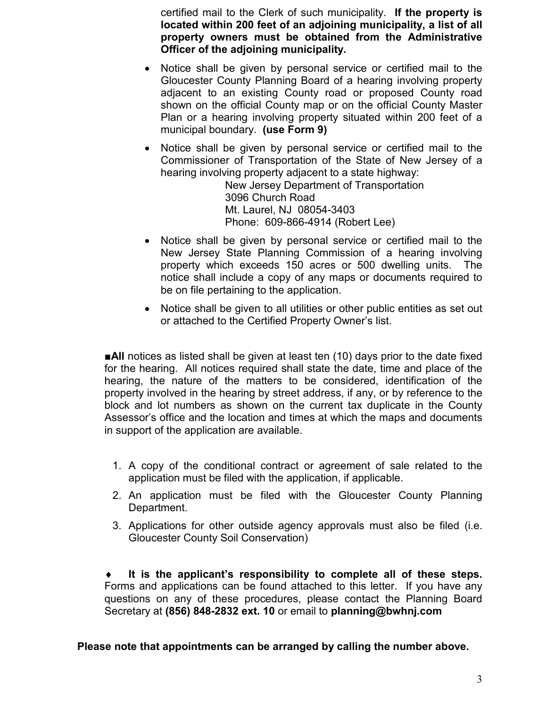certified mail to the Clerk of such municipality. **If the property is located within 200 feet of an adjoining municipality, a list of all property owners must be obtained from the Administrative Officer of the adjoining municipality.**

- Notice shall be given by personal service or certified mail to the Gloucester County Planning Board of a hearing involving property adjacent to an existing County road or proposed County road shown on the official County map or on the official County Master Plan or a hearing involving property situated within 200 feet of a municipal boundary. **(use Form 9)**
- Notice shall be given by personal service or certified mail to the Commissioner of Transportation of the State of New Jersey of a hearing involving property adjacent to a state highway:

New Jersey Department of Transportation 3096 Church Road Mt. Laurel, NJ 08054-3403 Phone: 609-866-4914 (Robert Lee)

- Notice shall be given by personal service or certified mail to the New Jersey State Planning Commission of a hearing involving property which exceeds 150 acres or 500 dwelling units. The notice shall include a copy of any maps or documents required to be on file pertaining to the application.
- Notice shall be given to all utilities or other public entities as set out or attached to the Certified Property Owner's list.

■**All** notices as listed shall be given at least ten (10) days prior to the date fixed for the hearing. All notices required shall state the date, time and place of the hearing, the nature of the matters to be considered, identification of the property involved in the hearing by street address, if any, or by reference to the block and lot numbers as shown on the current tax duplicate in the County Assessor's office and the location and times at which the maps and documents in support of the application are available.

- 1. A copy of the conditional contract or agreement of sale related to the application must be filed with the application, if applicable.
- 2. An application must be filed with the Gloucester County Planning Department.
- 3. Applications for other outside agency approvals must also be filed (i.e. Gloucester County Soil Conservation)

It is the applicant's responsibility to complete all of these steps. Forms and applications can be found attached to this letter. If you have any questions on any of these procedures, please contact the Planning Board Secretary at **(856) 848-2832 ext. 10** or email to **planning@bwhnj.com**

**Please note that appointments can be arranged by calling the number above.**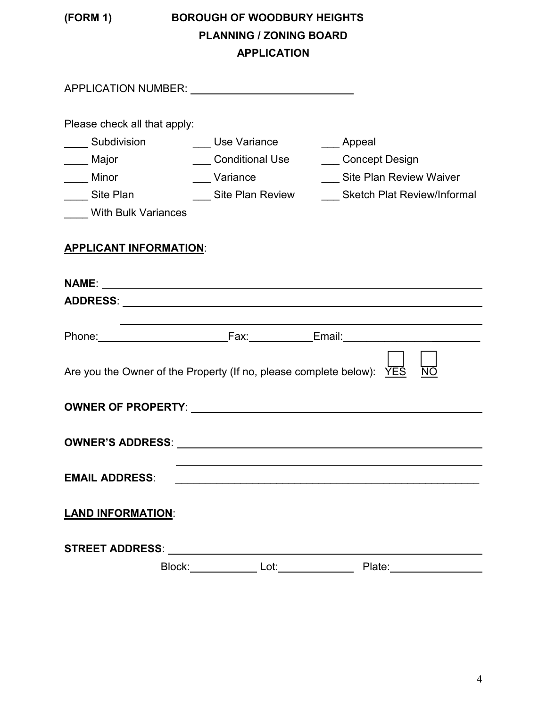### **(FORM 1) BOROUGH OF WOODBURY HEIGHTS PLANNING / ZONING BOARD APPLICATION**

| APPLICATION NUMBER: University of APPLICATION                           |              |                                                      |  |  |
|-------------------------------------------------------------------------|--------------|------------------------------------------------------|--|--|
| Please check all that apply:                                            |              |                                                      |  |  |
| ____ Subdivision     ___ Use Variance                                   |              | ___ Appeal                                           |  |  |
| ____ Major                                                              |              | ___ Conditional Use ___ Concept Design               |  |  |
| ____ Minor                                                              | ___ Variance | Site Plan Review Waiver                              |  |  |
| ____ Site Plan                                                          |              | Site Plan Review _______ Sketch Plat Review/Informal |  |  |
| <b>With Bulk Variances</b>                                              |              |                                                      |  |  |
| <b>APPLICANT INFORMATION:</b>                                           |              |                                                      |  |  |
|                                                                         |              |                                                      |  |  |
|                                                                         |              |                                                      |  |  |
|                                                                         |              |                                                      |  |  |
|                                                                         |              |                                                      |  |  |
| Are you the Owner of the Property (If no, please complete below): $YES$ |              | <b>NO</b>                                            |  |  |
|                                                                         |              |                                                      |  |  |
|                                                                         |              |                                                      |  |  |
| <b>EMAIL ADDRESS:</b>                                                   |              |                                                      |  |  |
| <b>LAND INFORMATION:</b>                                                |              |                                                      |  |  |
| <b>STREET ADDRESS:</b>                                                  |              |                                                      |  |  |
| Block:                                                                  | Lot:         | Plate:                                               |  |  |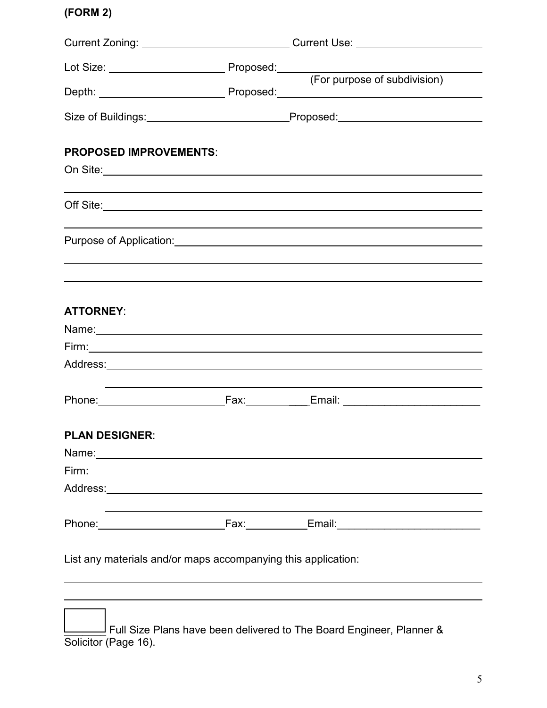### **(FORM 2)**

|                                                                                                                | Current Zoning: ________________________________Current Use: ___________________ |
|----------------------------------------------------------------------------------------------------------------|----------------------------------------------------------------------------------|
|                                                                                                                |                                                                                  |
|                                                                                                                | (For purpose of subdivision)                                                     |
|                                                                                                                |                                                                                  |
| <b>PROPOSED IMPROVEMENTS:</b>                                                                                  |                                                                                  |
|                                                                                                                |                                                                                  |
|                                                                                                                |                                                                                  |
|                                                                                                                | Purpose of Application: National Action of Application:                          |
|                                                                                                                |                                                                                  |
| <b>ATTORNEY:</b>                                                                                               |                                                                                  |
|                                                                                                                |                                                                                  |
|                                                                                                                |                                                                                  |
|                                                                                                                |                                                                                  |
|                                                                                                                |                                                                                  |
| <b>PLAN DESIGNER:</b>                                                                                          |                                                                                  |
| Name: 2008 2010 2020 2021 2022 2023 2024 2022 2022 2023 2024 2022 2023 2024 2022 2023 2024 2022 2023 2024 2022 |                                                                                  |
|                                                                                                                |                                                                                  |
|                                                                                                                |                                                                                  |
|                                                                                                                |                                                                                  |
| List any materials and/or maps accompanying this application:                                                  |                                                                                  |
|                                                                                                                |                                                                                  |
|                                                                                                                | ence the contract of the second to The Depart Francesco                          |

\_\_\_\_\_\_\_ Full Size Plans have been delivered to The Board Engineer, Planner & Solicitor (Page 16).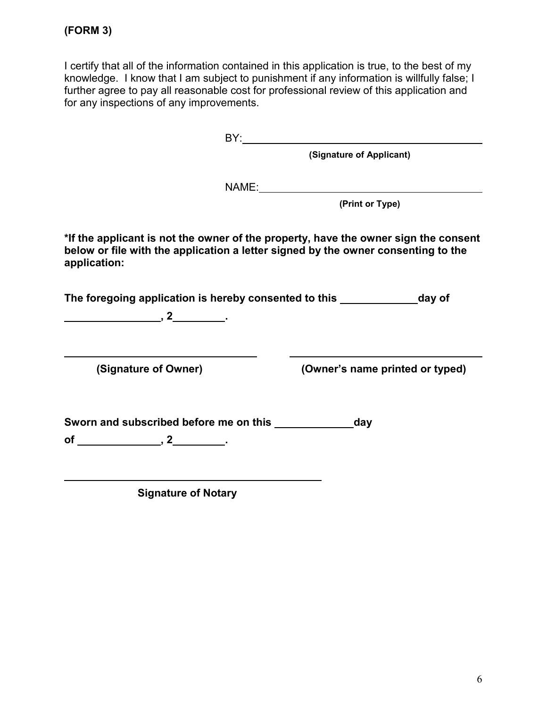I certify that all of the information contained in this application is true, to the best of my knowledge. I know that I am subject to punishment if any information is willfully false; I further agree to pay all reasonable cost for professional review of this application and for any inspections of any improvements.

|                                                                         | (Signature of Applicant)                                                                                                                                                 |
|-------------------------------------------------------------------------|--------------------------------------------------------------------------------------------------------------------------------------------------------------------------|
|                                                                         |                                                                                                                                                                          |
|                                                                         | (Print or Type)                                                                                                                                                          |
| application:                                                            | *If the applicant is not the owner of the property, have the owner sign the consent<br>below or file with the application a letter signed by the owner consenting to the |
| $\overbrace{\hspace{2.5cm}}^{2}$ , 2 $\overbrace{\hspace{2.5cm}}^{2}$ . | The foregoing application is hereby consented to this ___________________day of                                                                                          |
| (Signature of Owner)                                                    | (Owner's name printed or typed)                                                                                                                                          |
|                                                                         |                                                                                                                                                                          |
| <b>Signature of Notary</b>                                              |                                                                                                                                                                          |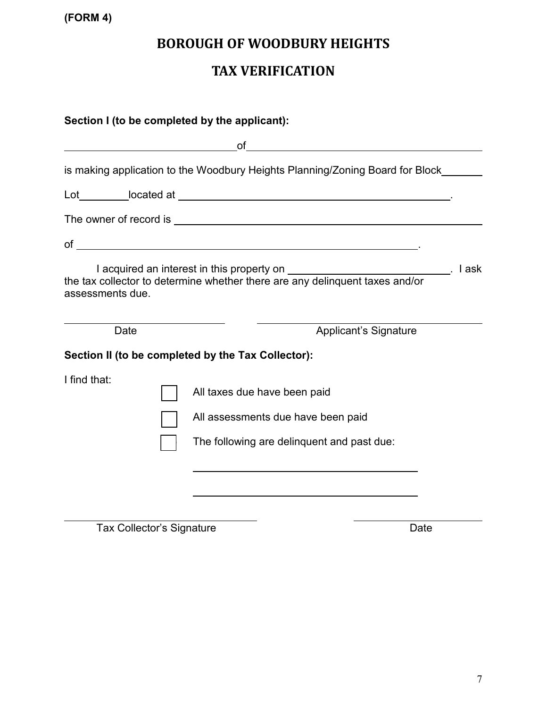**(FORM 4)**

### **BOROUGH OF WOODBURY HEIGHTS**

### **TAX VERIFICATION**

| Section I (to be completed by the applicant):                   |                                                                                                                                                                                                                                |  |  |
|-----------------------------------------------------------------|--------------------------------------------------------------------------------------------------------------------------------------------------------------------------------------------------------------------------------|--|--|
| <u> 1989 - Johann Barn, fransk politik amerikansk politik (</u> | of<br><u> 1980 - Jan Samuel Barbara, martin d</u>                                                                                                                                                                              |  |  |
|                                                                 | is making application to the Woodbury Heights Planning/Zoning Board for Block____                                                                                                                                              |  |  |
|                                                                 |                                                                                                                                                                                                                                |  |  |
|                                                                 | The owner of record is example to the contract of the contract of the contract of the contract of the contract of the contract of the contract of the contract of the contract of the contract of the contract of the contract |  |  |
|                                                                 |                                                                                                                                                                                                                                |  |  |
| assessments due.                                                | I acquired an interest in this property on _______________________________. I ask<br>the tax collector to determine whether there are any delinquent taxes and/or                                                              |  |  |
| Date                                                            | <b>Applicant's Signature</b>                                                                                                                                                                                                   |  |  |
|                                                                 | Section II (to be completed by the Tax Collector):                                                                                                                                                                             |  |  |
| I find that:                                                    | All taxes due have been paid<br>All assessments due have been paid<br>The following are delinquent and past due:                                                                                                               |  |  |
|                                                                 |                                                                                                                                                                                                                                |  |  |

Tax Collector's Signature Date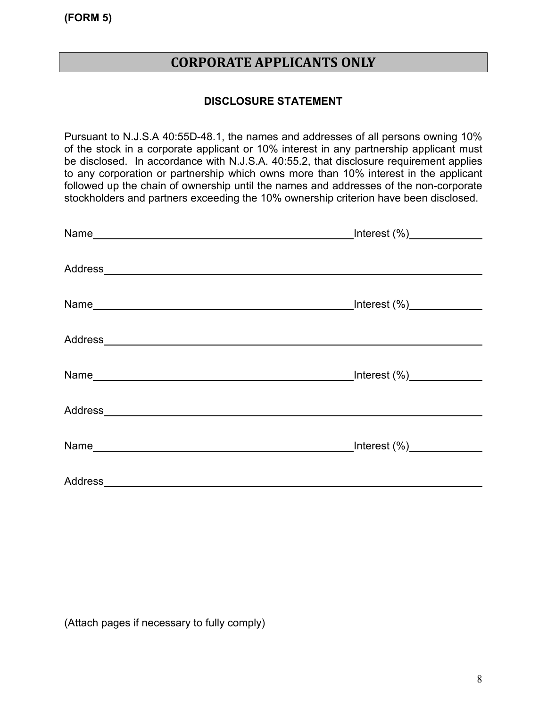**(FORM 5)**

### **CORPORATE APPLICANTS ONLY**

#### **DISCLOSURE STATEMENT**

Pursuant to N.J.S.A 40:55D-48.1, the names and addresses of all persons owning 10% of the stock in a corporate applicant or 10% interest in any partnership applicant must be disclosed. In accordance with N.J.S.A. 40:55.2, that disclosure requirement applies to any corporation or partnership which owns more than 10% interest in the applicant followed up the chain of ownership until the names and addresses of the non-corporate stockholders and partners exceeding the 10% ownership criterion have been disclosed.

| _Interest (%)_____________ |
|----------------------------|
|                            |
| _Interest (%)_____________ |
|                            |
|                            |
|                            |
|                            |
|                            |

(Attach pages if necessary to fully comply)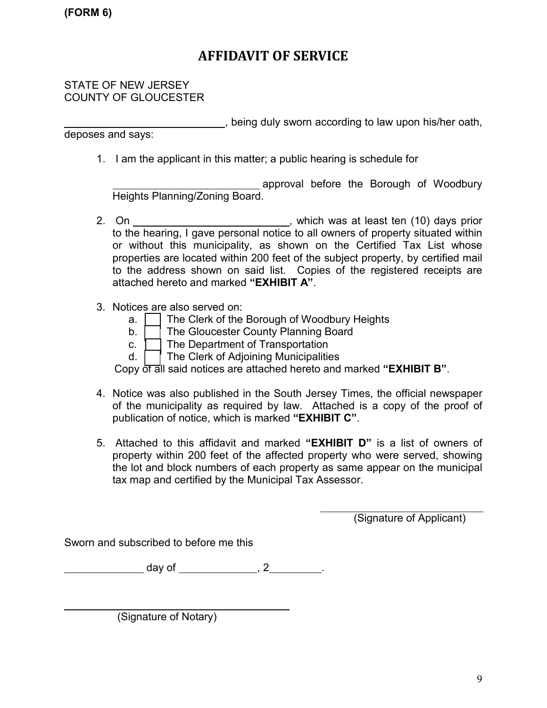### **AFFIDAVIT OF SERVICE**

#### STATE OF NEW JERSEY COUNTY OF GLOUCESTER

**EXECUTE:** being duly sworn according to law upon his/her oath, deposes and says:

1. I am the applicant in this matter; a public hearing is schedule for

approval before the Borough of Woodbury Heights Planning/Zoning Board.

- 2. On \_\_\_\_\_\_\_\_\_\_\_\_\_\_\_\_\_\_\_\_\_\_\_\_\_\_\_\_\_\_\_\_\_, which was at least ten (10) days prior to the hearing, I gave personal notice to all owners of property situated within or without this municipality, as shown on the Certified Tax List whose properties are located within 200 feet of the subject property, by certified mail to the address shown on said list. Copies of the registered receipts are attached hereto and marked **"EXHIBIT A"**.
- 3. Notices are also served on:
	- $a.$   $\Box$  The Clerk of the Borough of Woodbury Heights
	- b. **The Gloucester County Planning Board**
	- c.  $\mathrel{\mathop{\bigsqcup}}$  The Department of Transportation
	- d. ( ) The Clerk of Adjoining Municipalities

Copy of all said notices are attached hereto and marked **"EXHIBIT B"**.

- 4. Notice was also published in the South Jersey Times, the official newspaper of the municipality as required by law. Attached is a copy of the proof of publication of notice, which is marked **"EXHIBIT C"**.
- 5. Attached to this affidavit and marked **"EXHIBIT D"** is a list of owners of property within 200 feet of the affected property who were served, showing the lot and block numbers of each property as same appear on the municipal tax map and certified by the Municipal Tax Assessor.

(Signature of Applicant)

Sworn and subscribed to before me this

day of , 2 .

(Signature of Notary)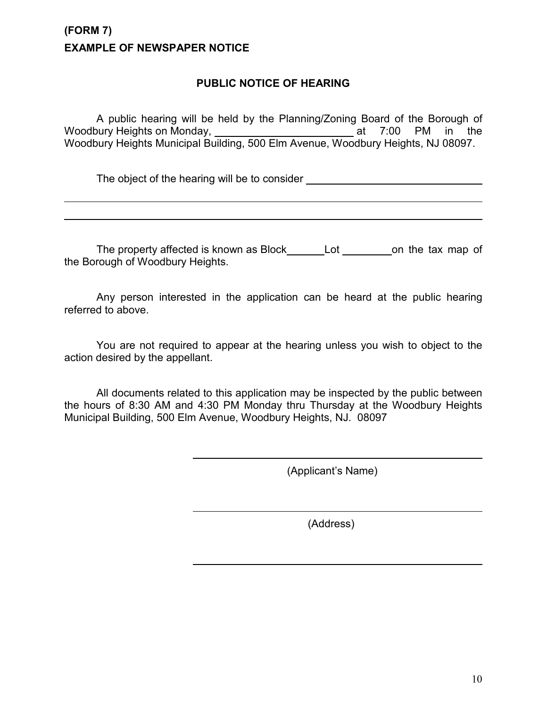### **(FORM 7) EXAMPLE OF NEWSPAPER NOTICE**

#### **PUBLIC NOTICE OF HEARING**

A public hearing will be held by the Planning/Zoning Board of the Borough of Woodbury Heights on Monday, \_\_\_\_\_\_\_\_\_\_\_\_\_\_\_\_\_\_\_\_\_\_\_\_\_\_\_ at 7:00 PM in the Woodbury Heights Municipal Building, 500 Elm Avenue, Woodbury Heights, NJ 08097.

The object of the hearing will be to consider \_\_\_\_\_\_\_\_\_\_\_\_\_\_\_\_\_\_\_\_\_\_\_\_\_\_\_\_\_\_\_\_\_\_

The property affected is known as Block\_\_\_\_\_\_\_Lot \_\_\_\_\_\_\_\_\_\_on the tax map of the Borough of Woodbury Heights.

Any person interested in the application can be heard at the public hearing referred to above.

You are not required to appear at the hearing unless you wish to object to the action desired by the appellant.

All documents related to this application may be inspected by the public between the hours of 8:30 AM and 4:30 PM Monday thru Thursday at the Woodbury Heights Municipal Building, 500 Elm Avenue, Woodbury Heights, NJ. 08097

(Applicant's Name)

(Address)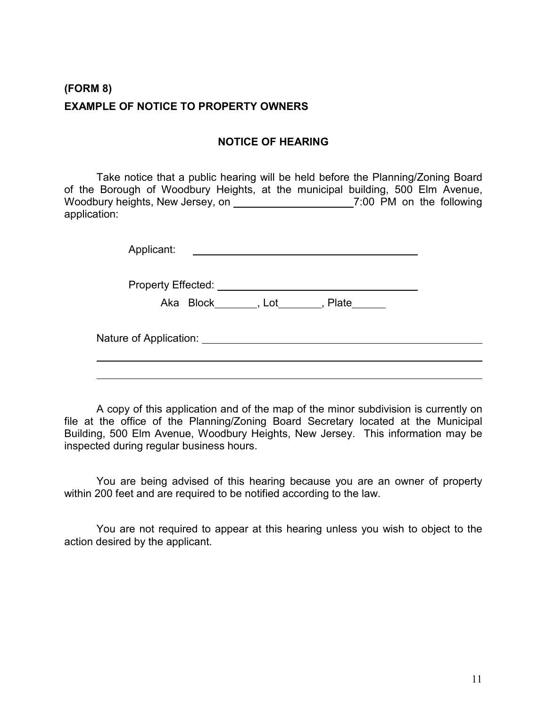### **(FORM 8) EXAMPLE OF NOTICE TO PROPERTY OWNERS**

#### **NOTICE OF HEARING**

Take notice that a public hearing will be held before the Planning/Zoning Board of the Borough of Woodbury Heights, at the municipal building, 500 Elm Avenue, Woodbury heights, New Jersey, on \_\_\_\_\_\_\_\_\_\_\_\_\_\_\_\_\_\_\_\_\_\_\_\_7:00 PM on the following application:

| Applicant:                |  |
|---------------------------|--|
| <b>Property Effected:</b> |  |

Aka Block , Lot , Plate

Nature of Application: <u>Nature of Application:</u> Nature of Application:

A copy of this application and of the map of the minor subdivision is currently on file at the office of the Planning/Zoning Board Secretary located at the Municipal Building, 500 Elm Avenue, Woodbury Heights, New Jersey. This information may be inspected during regular business hours.

You are being advised of this hearing because you are an owner of property within 200 feet and are required to be notified according to the law.

You are not required to appear at this hearing unless you wish to object to the action desired by the applicant.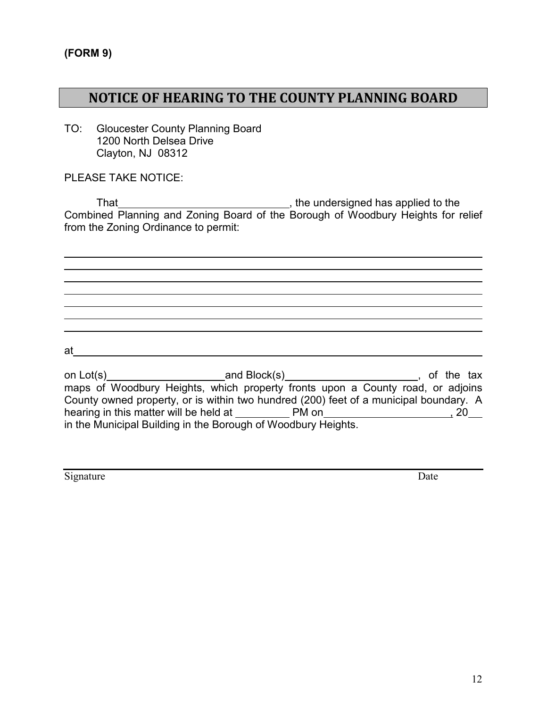### **NOTICE OF HEARING TO THE COUNTY PLANNING BOARD**

TO: Gloucester County Planning Board 1200 North Delsea Drive Clayton, NJ 08312

PLEASE TAKE NOTICE:

That , the undersigned has applied to the Combined Planning and Zoning Board of the Borough of Woodbury Heights for relief from the Zoning Ordinance to permit:

at

on Lot(s)\_\_\_\_\_\_\_\_\_\_\_\_\_\_\_\_\_\_\_\_\_\_\_and Block(s)\_\_\_\_\_\_\_\_\_\_\_\_\_\_\_\_\_\_\_\_\_\_\_\_\_\_, of the tax maps of Woodbury Heights, which property fronts upon a County road, or adjoins County owned property, or is within two hundred (200) feet of a municipal boundary. A hearing in this matter will be held at PM on , 20 in the Municipal Building in the Borough of Woodbury Heights.

Signature Date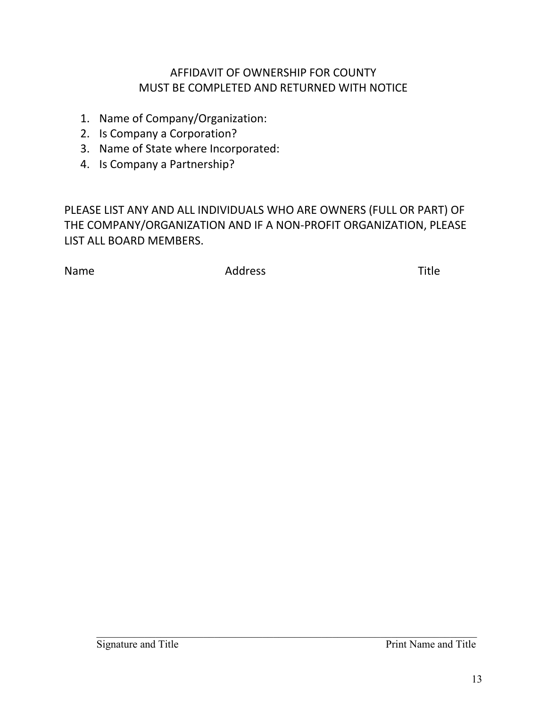### AFFIDAVIT OF OWNERSHIP FOR COUNTY MUST BE COMPLETED AND RETURNED WITH NOTICE

- 1. Name of Company/Organization:
- 2. Is Company a Corporation?
- 3. Name of State where Incorporated:
- 4. Is Company a Partnership?

PLEASE LIST ANY AND ALL INDIVIDUALS WHO ARE OWNERS (FULL OR PART) OF THE COMPANY/ORGANIZATION AND IF A NON-PROFIT ORGANIZATION, PLEASE LIST ALL BOARD MEMBERS.

Name **Address** Address **Name** Title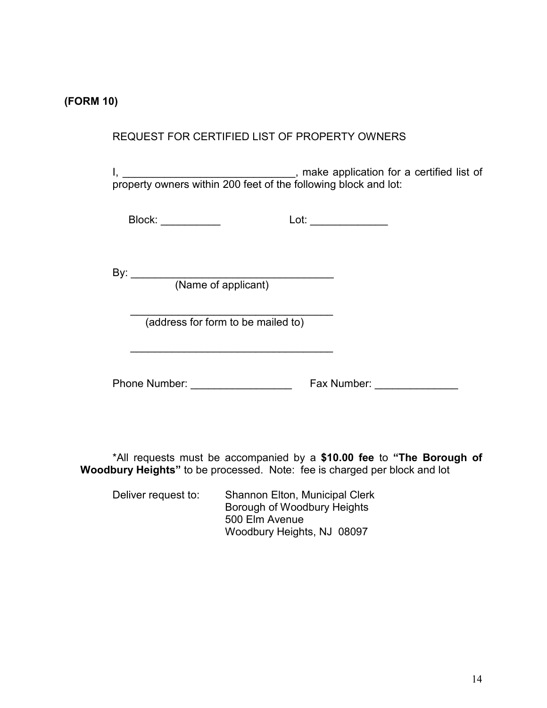#### **(FORM 10)**

#### REQUEST FOR CERTIFIED LIST OF PROPERTY OWNERS

I, \_\_\_\_\_\_\_\_\_\_\_\_\_\_\_\_\_\_\_\_\_\_\_\_\_\_\_\_\_\_\_, make application for a certified list of property owners within 200 feet of the following block and lot:

| Block: | -4.<br>ັ. |
|--------|-----------|
|        |           |

By: \_\_\_\_\_\_\_\_\_\_\_\_\_\_\_\_\_\_\_\_\_\_\_\_\_\_\_\_\_\_\_\_\_\_

(Name of applicant)

 $\overline{\phantom{a}}$  , and the set of the set of the set of the set of the set of the set of the set of the set of the set of the set of the set of the set of the set of the set of the set of the set of the set of the set of the s (address for form to be mailed to)

 $\overline{\phantom{a}}$  , and the set of the set of the set of the set of the set of the set of the set of the set of the set of the set of the set of the set of the set of the set of the set of the set of the set of the set of the s

Phone Number: example of the Fax Number:

\*All requests must be accompanied by a **\$10.00 fee** to **"The Borough of Woodbury Heights"** to be processed. Note: fee is charged per block and lot

Deliver request to: Shannon Elton, Municipal Clerk Borough of Woodbury Heights 500 Elm Avenue Woodbury Heights, NJ 08097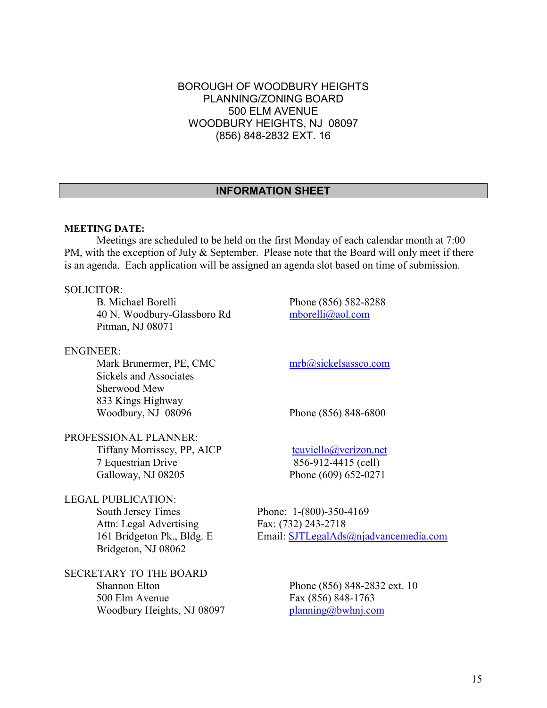#### BOROUGH OF WOODBURY HEIGHTS PLANNING/ZONING BOARD 500 ELM AVENUE WOODBURY HEIGHTS, NJ 08097 (856) 848-2832 EXT. 16

#### **INFORMATION SHEET**

#### **MEETING DATE:**

Meetings are scheduled to be held on the first Monday of each calendar month at 7:00 PM, with the exception of July & September. Please note that the Board will only meet if there is an agenda. Each application will be assigned an agenda slot based on time of submission.

#### SOLICITOR:

B. Michael Borelli Phone (856) 582-8288 40 N. Woodbury-Glassboro Rd [mborelli@aol.com](mailto:mborelli@aol.com) Pitman, NJ 08071

#### ENGINEER:

Mark Brunermer, PE, CMC [mrb@sickelsassco.com](mailto:mrb@sickelsassco.com) Sickels and Associates Sherwood Mew 833 Kings Highway Woodbury, NJ 08096 Phone (856) 848-6800

PROFESSIONAL PLANNER: Tiffany Morrissey, PP, AICP  $t$ cuviello@verizon.net

Galloway, NJ 08205 Phone (609) 652-0271

### LEGAL PUBLICATION: South Jersey Times Phone: 1-(800)-350-4169 Attn: Legal Advertising Fax: (732) 243-2718 Bridgeton, NJ 08062

### SECRETARY TO THE BOARD 500 Elm Avenue Fax (856) 848-1763 Woodbury Heights, NJ 08097 [planning@bwhnj.com](mailto:planning@bwhnj.com)

7 Equestrian Drive 856-912-4415 (cell)

161 Bridgeton Pk., Bldg. E Email: [SJTLegalAds@njadvancemedia.com](mailto:SJTLegalAds@njadvancemedia.com)

Shannon Elton Phone (856) 848-2832 ext. 10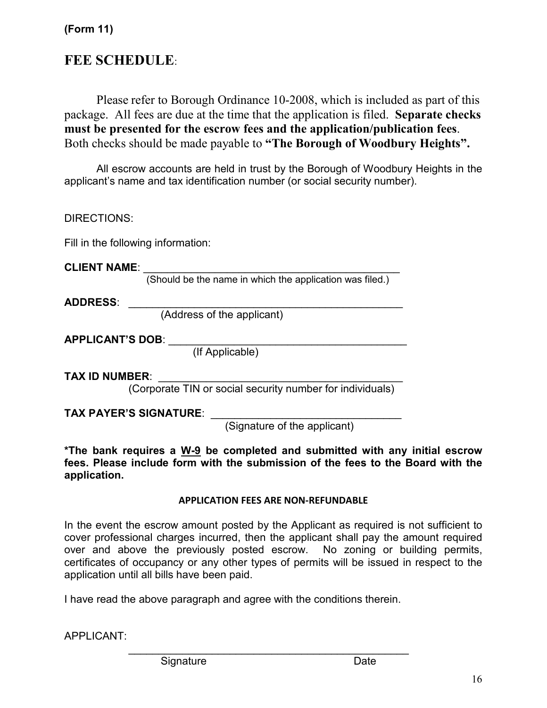### **(Form 11)**

### **FEE SCHEDULE**:

Please refer to Borough Ordinance 10-2008, which is included as part of this package. All fees are due at the time that the application is filed. **Separate checks must be presented for the escrow fees and the application/publication fees**. Both checks should be made payable to **"The Borough of Woodbury Heights".**

All escrow accounts are held in trust by the Borough of Woodbury Heights in the applicant's name and tax identification number (or social security number).

| DIRECTIONS: |
|-------------|
|-------------|

Fill in the following information:

**CLIENT NAME**: \_\_\_\_\_\_\_\_\_\_\_\_\_\_\_\_\_\_\_\_\_\_\_\_\_\_\_\_\_\_\_\_\_\_\_\_\_\_\_\_\_\_\_

(Should be the name in which the application was filed.)

**ADDRESS**: \_\_\_\_\_\_\_\_\_\_\_\_\_\_\_\_\_\_\_\_\_\_\_\_\_\_\_\_\_\_\_\_\_\_\_\_\_\_\_\_\_\_\_\_\_\_

(Address of the applicant)

**APPLICANT'S DOB**: \_\_\_\_\_\_\_\_\_\_\_\_\_\_\_\_\_\_\_\_\_\_\_\_\_\_\_\_\_\_\_\_\_\_\_\_\_\_\_\_

(If Applicable)

**TAX ID NUMBER**: \_\_\_\_\_\_\_\_\_\_\_\_\_\_\_\_\_\_\_\_\_\_\_\_\_\_\_\_\_\_\_\_\_\_\_\_\_\_\_\_\_

(Corporate TIN or social security number for individuals)

**TAX PAYER'S SIGNATURE**: \_\_\_\_\_\_\_\_\_\_\_\_\_\_\_\_\_\_\_\_\_\_\_\_\_\_\_\_\_\_\_\_

(Signature of the applicant)

**\*The bank requires a W-9 be completed and submitted with any initial escrow fees. Please include form with the submission of the fees to the Board with the application.** 

#### **APPLICATION FEES ARE NON-REFUNDABLE**

In the event the escrow amount posted by the Applicant as required is not sufficient to cover professional charges incurred, then the applicant shall pay the amount required over and above the previously posted escrow. No zoning or building permits, certificates of occupancy or any other types of permits will be issued in respect to the application until all bills have been paid.

\_\_\_\_\_\_\_\_\_\_\_\_\_\_\_\_\_\_\_\_\_\_\_\_\_\_\_\_\_\_\_\_\_\_\_\_\_\_\_\_\_\_\_\_\_\_\_

I have read the above paragraph and agree with the conditions therein.

APPLICANT:

Signature Date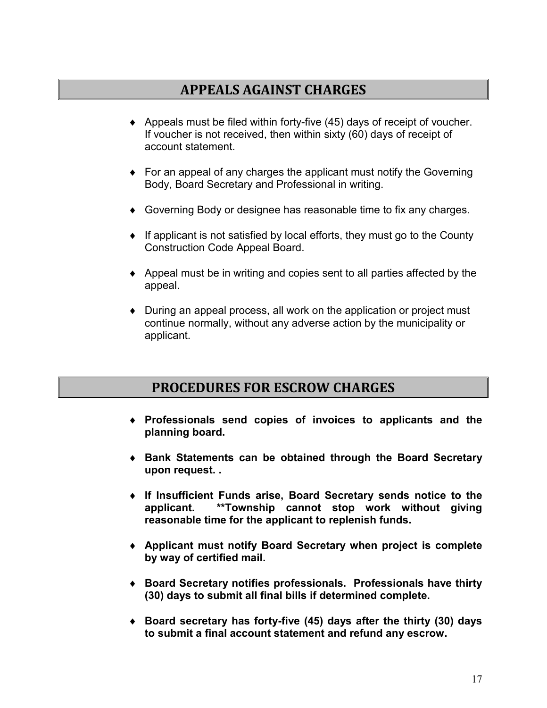### **APPEALS AGAINST CHARGES**

- $\blacklozenge$  Appeals must be filed within forty-five (45) days of receipt of voucher. If voucher is not received, then within sixty (60) days of receipt of account statement.
- ♦ For an appeal of any charges the applicant must notify the Governing Body, Board Secretary and Professional in writing.
- ♦ Governing Body or designee has reasonable time to fix any charges.
- ♦ If applicant is not satisfied by local efforts, they must go to the County Construction Code Appeal Board.
- $\triangle$  Appeal must be in writing and copies sent to all parties affected by the appeal.
- ♦ During an appeal process, all work on the application or project must continue normally, without any adverse action by the municipality or applicant.

### **PROCEDURES FOR ESCROW CHARGES**

- ♦ **Professionals send copies of invoices to applicants and the planning board.**
- ♦ **Bank Statements can be obtained through the Board Secretary upon request. .**
- ♦ **If Insufficient Funds arise, Board Secretary sends notice to the applicant. \*\*Township cannot stop work without giving reasonable time for the applicant to replenish funds.**
- ♦ **Applicant must notify Board Secretary when project is complete by way of certified mail.**
- ♦ **Board Secretary notifies professionals. Professionals have thirty (30) days to submit all final bills if determined complete.**
- ♦ **Board secretary has forty-five (45) days after the thirty (30) days to submit a final account statement and refund any escrow.**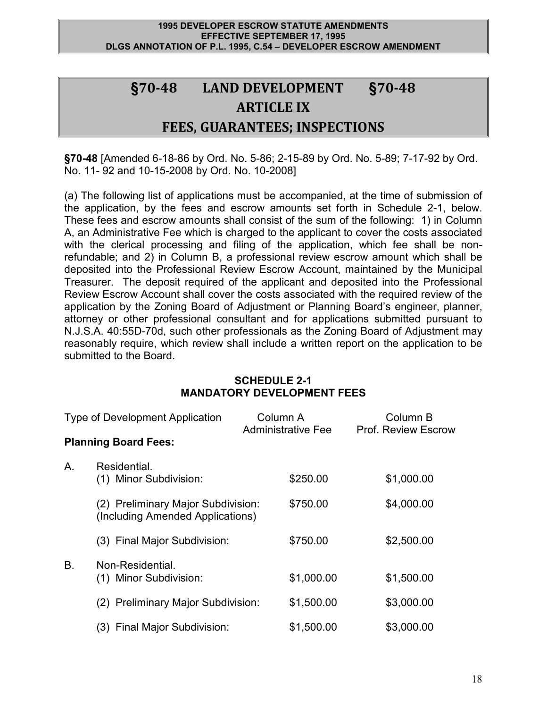#### **1995 DEVELOPER ESCROW STATUTE AMENDMENTS EFFECTIVE SEPTEMBER 17, 1995 DLGS ANNOTATION OF P.L. 1995, C.54 – DEVELOPER ESCROW AMENDMENT**

## **§70-48 LAND DEVELOPMENT §70-48 ARTICLE IX FEES, GUARANTEES; INSPECTIONS**

**§70-48** [Amended 6-18-86 by Ord. No. 5-86; 2-15-89 by Ord. No. 5-89; 7-17-92 by Ord. No. 11- 92 and 10-15-2008 by Ord. No. 10-2008]

(a) The following list of applications must be accompanied, at the time of submission of the application, by the fees and escrow amounts set forth in Schedule 2-1, below. These fees and escrow amounts shall consist of the sum of the following: 1) in Column A, an Administrative Fee which is charged to the applicant to cover the costs associated with the clerical processing and filing of the application, which fee shall be nonrefundable; and 2) in Column B, a professional review escrow amount which shall be deposited into the Professional Review Escrow Account, maintained by the Municipal Treasurer. The deposit required of the applicant and deposited into the Professional Review Escrow Account shall cover the costs associated with the required review of the application by the Zoning Board of Adjustment or Planning Board's engineer, planner, attorney or other professional consultant and for applications submitted pursuant to N.J.S.A. 40:55D-70d, such other professionals as the Zoning Board of Adjustment may reasonably require, which review shall include a written report on the application to be submitted to the Board.

#### **SCHEDULE 2-1 MANDATORY DEVELOPMENT FEES**

| <b>Type of Development Application</b> |                                                                        | Column A<br><b>Administrative Fee</b> |            | Column B<br><b>Prof. Review Escrow</b> |  |
|----------------------------------------|------------------------------------------------------------------------|---------------------------------------|------------|----------------------------------------|--|
|                                        | <b>Planning Board Fees:</b>                                            |                                       |            |                                        |  |
| Α.                                     | Residential.<br>(1) Minor Subdivision:                                 |                                       | \$250.00   | \$1,000.00                             |  |
|                                        | (2) Preliminary Major Subdivision:<br>(Including Amended Applications) |                                       | \$750.00   | \$4,000.00                             |  |
|                                        | (3) Final Major Subdivision:                                           |                                       | \$750.00   | \$2,500.00                             |  |
| B <sub>1</sub>                         | Non-Residential.<br>(1) Minor Subdivision:                             |                                       | \$1,000.00 | \$1,500.00                             |  |
|                                        | (2) Preliminary Major Subdivision:                                     |                                       | \$1,500.00 | \$3,000.00                             |  |
|                                        | (3) Final Major Subdivision:                                           |                                       | \$1,500.00 | \$3,000.00                             |  |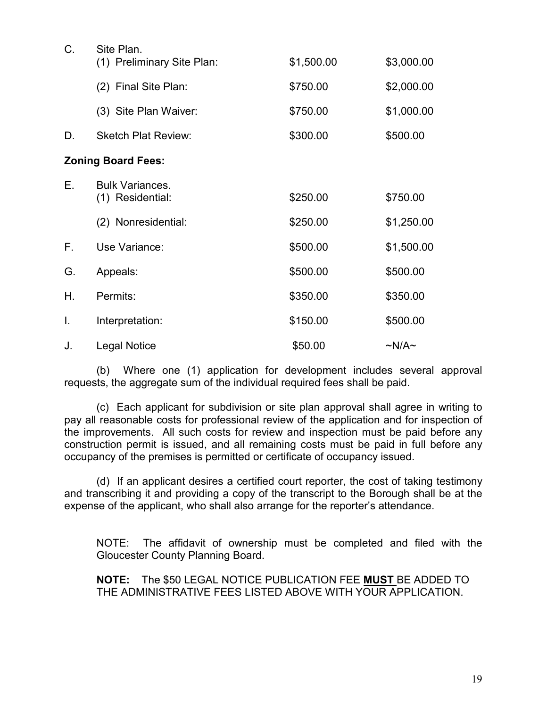| C. | Site Plan.<br>(1) Preliminary Site Plan:   | \$1,500.00 | \$3,000.00      |  |  |
|----|--------------------------------------------|------------|-----------------|--|--|
|    | (2) Final Site Plan:                       | \$750.00   | \$2,000.00      |  |  |
|    | (3) Site Plan Waiver:                      | \$750.00   | \$1,000.00      |  |  |
| D. | <b>Sketch Plat Review:</b>                 | \$300.00   | \$500.00        |  |  |
|    | <b>Zoning Board Fees:</b>                  |            |                 |  |  |
| Е. | <b>Bulk Variances.</b><br>(1) Residential: | \$250.00   | \$750.00        |  |  |
|    | (2) Nonresidential:                        | \$250.00   | \$1,250.00      |  |  |
| Е. | Use Variance:                              | \$500.00   | \$1,500.00      |  |  |
| G. | Appeals:                                   | \$500.00   | \$500.00        |  |  |
| Η. | Permits:                                   | \$350.00   | \$350.00        |  |  |
| I. | Interpretation:                            | \$150.00   | \$500.00        |  |  |
| J. | <b>Legal Notice</b>                        | \$50.00    | $\sim N/A \sim$ |  |  |

(b)Where one (1) application for development includes several approval requests, the aggregate sum of the individual required fees shall be paid.

(c) Each applicant for subdivision or site plan approval shall agree in writing to pay all reasonable costs for professional review of the application and for inspection of the improvements. All such costs for review and inspection must be paid before any construction permit is issued, and all remaining costs must be paid in full before any occupancy of the premises is permitted or certificate of occupancy issued.

(d) If an applicant desires a certified court reporter, the cost of taking testimony and transcribing it and providing a copy of the transcript to the Borough shall be at the expense of the applicant, who shall also arrange for the reporter's attendance.

NOTE: The affidavit of ownership must be completed and filed with the Gloucester County Planning Board.

**NOTE:** The \$50 LEGAL NOTICE PUBLICATION FEE **MUST** BE ADDED TO THE ADMINISTRATIVE FEES LISTED ABOVE WITH YOUR APPLICATION.